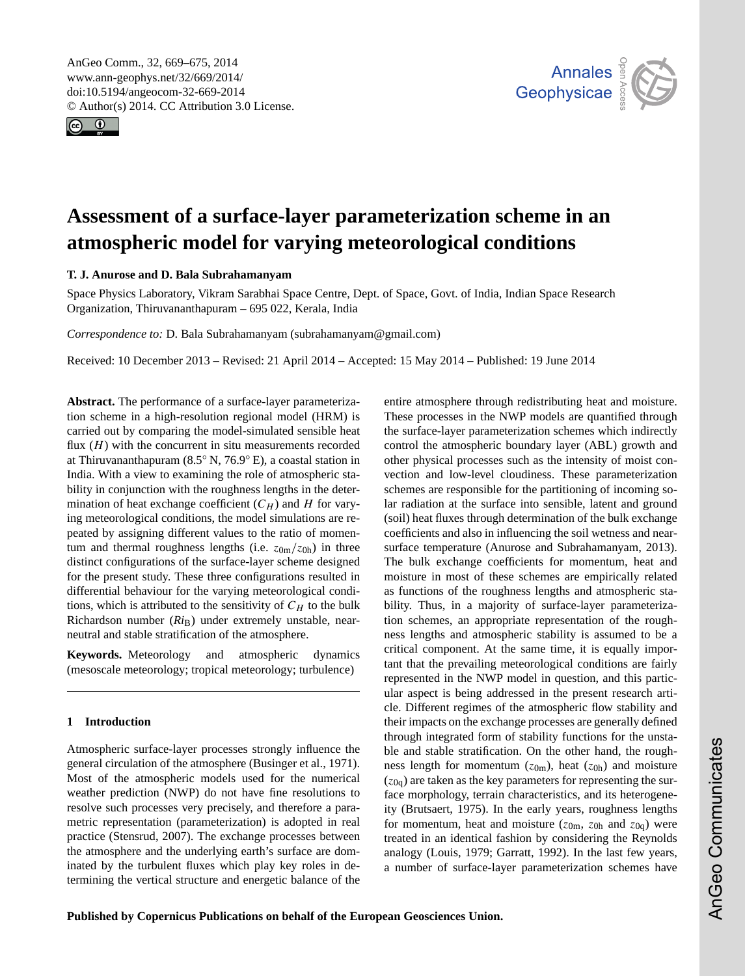<span id="page-0-0"></span>AnGeo Comm., 32, 669–675, 2014 www.ann-geophys.net/32/669/2014/ doi:10.5194/angeocom-32-669-2014 © Author(s) 2014. CC Attribution 3.0 License.





# **Assessment of a surface-layer parameterization scheme in an atmospheric model for varying meteorological conditions**

# **T. J. Anurose and D. Bala Subrahamanyam**

Space Physics Laboratory, Vikram Sarabhai Space Centre, Dept. of Space, Govt. of India, Indian Space Research Organization, Thiruvananthapuram – 695 022, Kerala, India

*Correspondence to:* D. Bala Subrahamanyam (subrahamanyam@gmail.com)

Received: 10 December 2013 – Revised: 21 April 2014 – Accepted: 15 May 2014 – Published: 19 June 2014

**Abstract.** The performance of a surface-layer parameterization scheme in a high-resolution regional model (HRM) is carried out by comparing the model-simulated sensible heat flux  $(H)$  with the concurrent in situ measurements recorded at Thiruvananthapuram (8.5◦ N, 76.9◦ E), a coastal station in India. With a view to examining the role of atmospheric stability in conjunction with the roughness lengths in the determination of heat exchange coefficient  $(C_H)$  and H for varying meteorological conditions, the model simulations are repeated by assigning different values to the ratio of momentum and thermal roughness lengths (i.e.  $z_{0m}/z_{0h}$ ) in three distinct configurations of the surface-layer scheme designed for the present study. These three configurations resulted in differential behaviour for the varying meteorological conditions, which is attributed to the sensitivity of  $C_H$  to the bulk Richardson number (*Ri*B) under extremely unstable, nearneutral and stable stratification of the atmosphere.

**Keywords.** Meteorology and atmospheric dynamics (mesoscale meteorology; tropical meteorology; turbulence)

# **1 Introduction**

Atmospheric surface-layer processes strongly influence the general circulation of the atmosphere [\(Businger et al.,](#page-6-0) [1971\)](#page-6-0). Most of the atmospheric models used for the numerical weather prediction (NWP) do not have fine resolutions to resolve such processes very precisely, and therefore a parametric representation (parameterization) is adopted in real practice [\(Stensrud,](#page-6-1) [2007\)](#page-6-1). The exchange processes between the atmosphere and the underlying earth's surface are dominated by the turbulent fluxes which play key roles in determining the vertical structure and energetic balance of the entire atmosphere through redistributing heat and moisture. These processes in the NWP models are quantified through the surface-layer parameterization schemes which indirectly control the atmospheric boundary layer (ABL) growth and other physical processes such as the intensity of moist convection and low-level cloudiness. These parameterization schemes are responsible for the partitioning of incoming solar radiation at the surface into sensible, latent and ground (soil) heat fluxes through determination of the bulk exchange coefficients and also in influencing the soil wetness and nearsurface temperature [\(Anurose and Subrahamanyam,](#page-6-2) [2013\)](#page-6-2). The bulk exchange coefficients for momentum, heat and moisture in most of these schemes are empirically related as functions of the roughness lengths and atmospheric stability. Thus, in a majority of surface-layer parameterization schemes, an appropriate representation of the roughness lengths and atmospheric stability is assumed to be a critical component. At the same time, it is equally important that the prevailing meteorological conditions are fairly represented in the NWP model in question, and this particular aspect is being addressed in the present research article. Different regimes of the atmospheric flow stability and their impacts on the exchange processes are generally defined through integrated form of stability functions for the unstable and stable stratification. On the other hand, the roughness length for momentum  $(z_{0m})$ , heat  $(z_{0h})$  and moisture  $(z<sub>0q</sub>)$  are taken as the key parameters for representing the surface morphology, terrain characteristics, and its heterogeneity [\(Brutsaert,](#page-6-3) [1975\)](#page-6-3). In the early years, roughness lengths for momentum, heat and moisture ( $z_{0m}$ ,  $z_{0h}$  and  $z_{0q}$ ) were treated in an identical fashion by considering the Reynolds analogy [\(Louis,](#page-6-4) [1979;](#page-6-4) [Garratt,](#page-6-5) [1992\)](#page-6-5). In the last few years, a number of surface-layer parameterization schemes have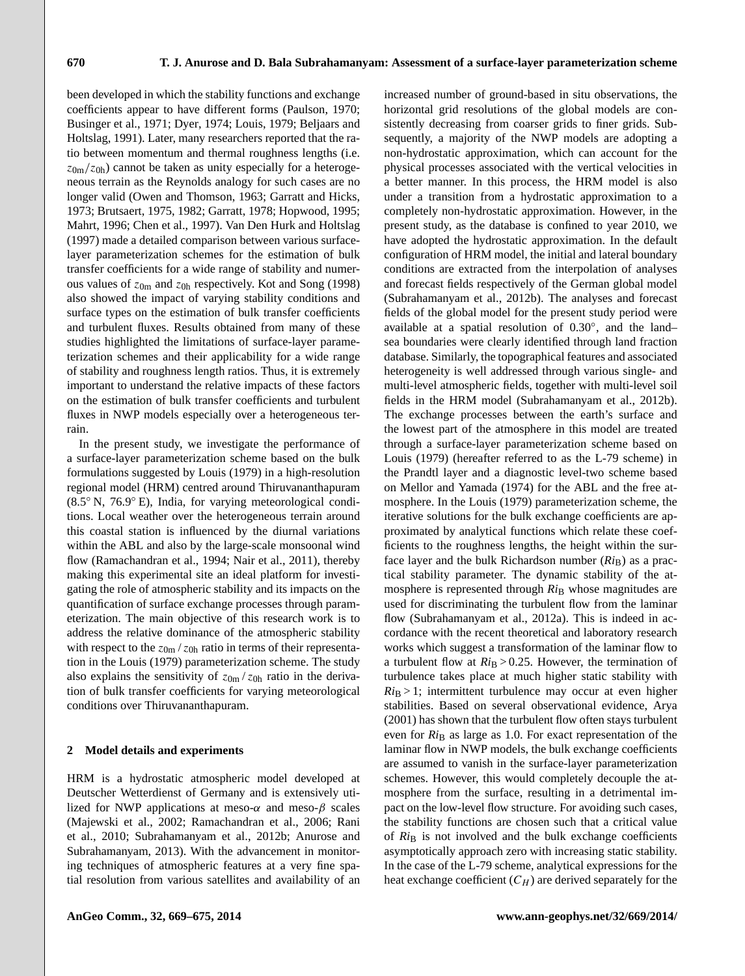been developed in which the stability functions and exchange coefficients appear to have different forms [\(Paulson,](#page-6-6) [1970;](#page-6-6) [Businger et al.,](#page-6-0) [1971;](#page-6-0) [Dyer,](#page-6-7) [1974;](#page-6-7) [Louis,](#page-6-4) [1979;](#page-6-4) [Beljaars and](#page-6-8) [Holtslag,](#page-6-8) [1991\)](#page-6-8). Later, many researchers reported that the ratio between momentum and thermal roughness lengths (i.e.  $z_{0m}/z_{0h}$ ) cannot be taken as unity especially for a heterogeneous terrain as the Reynolds analogy for such cases are no longer valid [\(Owen and Thomson,](#page-6-9) [1963;](#page-6-9) [Garratt and Hicks,](#page-6-10) [1973;](#page-6-10) [Brutsaert,](#page-6-3) [1975,](#page-6-3) [1982;](#page-6-11) [Garratt,](#page-6-12) [1978;](#page-6-12) [Hopwood,](#page-6-13) [1995;](#page-6-13) [Mahrt,](#page-6-14) [1996;](#page-6-14) [Chen et al.,](#page-6-15) [1997\)](#page-6-15). [Van Den Hurk and Holtslag](#page-6-16) [\(1997\)](#page-6-16) made a detailed comparison between various surfacelayer parameterization schemes for the estimation of bulk transfer coefficients for a wide range of stability and numerous values of  $z_{0m}$  and  $z_{0h}$  respectively. [Kot and Song](#page-6-17) [\(1998\)](#page-6-17) also showed the impact of varying stability conditions and surface types on the estimation of bulk transfer coefficients and turbulent fluxes. Results obtained from many of these studies highlighted the limitations of surface-layer parameterization schemes and their applicability for a wide range of stability and roughness length ratios. Thus, it is extremely important to understand the relative impacts of these factors on the estimation of bulk transfer coefficients and turbulent fluxes in NWP models especially over a heterogeneous terrain.

In the present study, we investigate the performance of a surface-layer parameterization scheme based on the bulk formulations suggested by [Louis](#page-6-4) [\(1979\)](#page-6-4) in a high-resolution regional model (HRM) centred around Thiruvananthapuram (8.5◦ N, 76.9◦ E), India, for varying meteorological conditions. Local weather over the heterogeneous terrain around this coastal station is influenced by the diurnal variations within the ABL and also by the large-scale monsoonal wind flow [\(Ramachandran et al.,](#page-6-18) [1994;](#page-6-18) [Nair et al.,](#page-6-19) [2011\)](#page-6-19), thereby making this experimental site an ideal platform for investigating the role of atmospheric stability and its impacts on the quantification of surface exchange processes through parameterization. The main objective of this research work is to address the relative dominance of the atmospheric stability with respect to the  $z_{0m}/z_{0h}$  ratio in terms of their representation in the [Louis](#page-6-4) [\(1979\)](#page-6-4) parameterization scheme. The study also explains the sensitivity of  $z_{0m}/z_{0h}$  ratio in the derivation of bulk transfer coefficients for varying meteorological conditions over Thiruvananthapuram.

#### <span id="page-1-0"></span>**2 Model details and experiments**

HRM is a hydrostatic atmospheric model developed at Deutscher Wetterdienst of Germany and is extensively utilized for NWP applications at meso- $\alpha$  and meso-β scales [\(Majewski et al.,](#page-6-20) [2002;](#page-6-20) [Ramachandran et al.,](#page-6-21) [2006;](#page-6-21) [Rani](#page-6-22) [et al.,](#page-6-22) [2010;](#page-6-22) [Subrahamanyam et al.,](#page-6-23) [2012b;](#page-6-23) [Anurose and](#page-6-2) [Subrahamanyam,](#page-6-2) [2013\)](#page-6-2). With the advancement in monitoring techniques of atmospheric features at a very fine spatial resolution from various satellites and availability of an increased number of ground-based in situ observations, the horizontal grid resolutions of the global models are consistently decreasing from coarser grids to finer grids. Subsequently, a majority of the NWP models are adopting a non-hydrostatic approximation, which can account for the physical processes associated with the vertical velocities in a better manner. In this process, the HRM model is also under a transition from a hydrostatic approximation to a completely non-hydrostatic approximation. However, in the present study, as the database is confined to year 2010, we have adopted the hydrostatic approximation. In the default configuration of HRM model, the initial and lateral boundary conditions are extracted from the interpolation of analyses and forecast fields respectively of the German global model [\(Subrahamanyam et al.,](#page-6-23) [2012b\)](#page-6-23). The analyses and forecast fields of the global model for the present study period were available at a spatial resolution of 0.30◦ , and the land– sea boundaries were clearly identified through land fraction database. Similarly, the topographical features and associated heterogeneity is well addressed through various single- and multi-level atmospheric fields, together with multi-level soil fields in the HRM model [\(Subrahamanyam et al.,](#page-6-23) [2012b\)](#page-6-23). The exchange processes between the earth's surface and the lowest part of the atmosphere in this model are treated through a surface-layer parameterization scheme based on [Louis](#page-6-4) [\(1979\)](#page-6-4) (hereafter referred to as the L-79 scheme) in the Prandtl layer and a diagnostic level-two scheme based on [Mellor and Yamada](#page-6-24) [\(1974\)](#page-6-24) for the ABL and the free atmosphere. In the [Louis](#page-6-4) [\(1979\)](#page-6-4) parameterization scheme, the iterative solutions for the bulk exchange coefficients are approximated by analytical functions which relate these coefficients to the roughness lengths, the height within the surface layer and the bulk Richardson number  $(Ri_B)$  as a practical stability parameter. The dynamic stability of the atmosphere is represented through  $Ri_B$  whose magnitudes are used for discriminating the turbulent flow from the laminar flow [\(Subrahamanyam et al.,](#page-6-25) [2012a\)](#page-6-25). This is indeed in accordance with the recent theoretical and laboratory research works which suggest a transformation of the laminar flow to a turbulent flow at  $Ri_B > 0.25$ . However, the termination of turbulence takes place at much higher static stability with  $Ri_B > 1$ ; intermittent turbulence may occur at even higher stabilities. Based on several observational evidence, [Arya](#page-6-26) [\(2001\)](#page-6-26) has shown that the turbulent flow often stays turbulent even for *Ri*<sub>B</sub> as large as 1.0. For exact representation of the laminar flow in NWP models, the bulk exchange coefficients are assumed to vanish in the surface-layer parameterization schemes. However, this would completely decouple the atmosphere from the surface, resulting in a detrimental impact on the low-level flow structure. For avoiding such cases, the stability functions are chosen such that a critical value of  $Ri_B$  is not involved and the bulk exchange coefficients asymptotically approach zero with increasing static stability. In the case of the L-79 scheme, analytical expressions for the heat exchange coefficient  $(C_H)$  are derived separately for the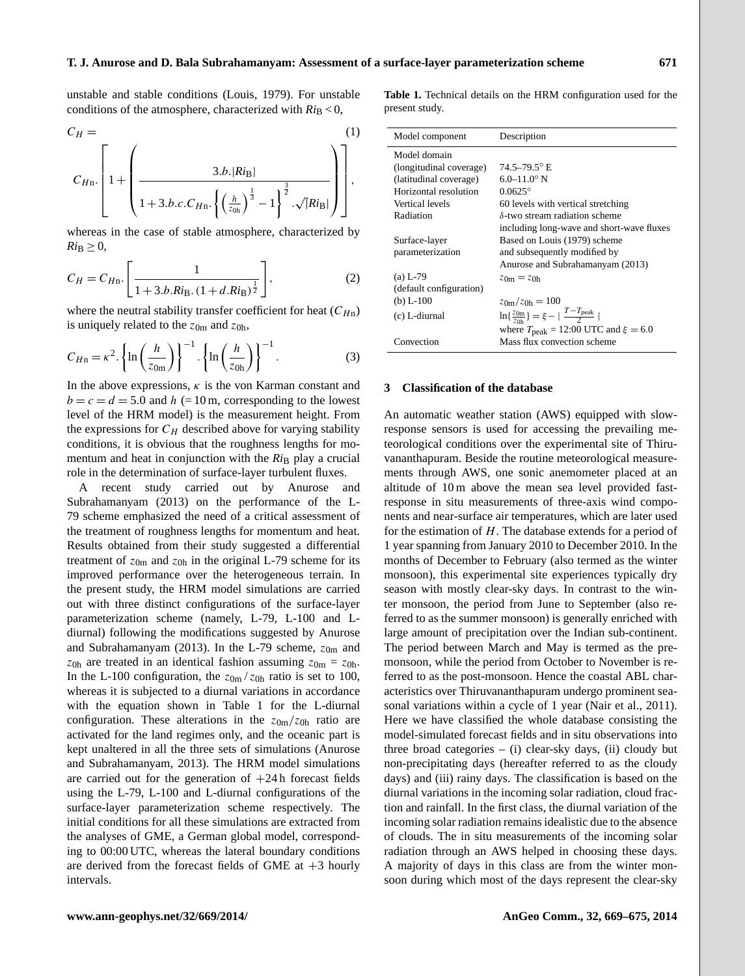unstable and stable conditions [\(Louis,](#page-6-4) [1979\)](#page-6-4). For unstable conditions of the atmosphere, characterized with  $Ri_\text{B}$  < 0,

$$
C_{H} = \left[1 + \left(\frac{3.b.|Ri_{\rm B}|}{1 + 3.b.c.C_{H} \cdot \left\{\left(\frac{h}{z_{0h}}\right)^{\frac{1}{3}} - 1\right\}^{\frac{3}{2}} \cdot \sqrt{|Ri_{\rm B}|}}\right)\right],
$$

whereas in the case of stable atmosphere, characterized by  $Ri_{\text{B}} \geq 0$ ,

$$
C_H = C_{Hn} \cdot \left[ \frac{1}{1 + 3.b.Ri_B.(1 + d.Ri_B)^{\frac{1}{2}}} \right],
$$
 (2)

where the neutral stability transfer coefficient for heat  $(C_{Hn})$ is uniquely related to the  $z_{0m}$  and  $z_{0h}$ ,

$$
C_{Hn} = \kappa^2 \cdot \left\{ \ln \left( \frac{h}{z_{0m}} \right) \right\}^{-1} \cdot \left\{ \ln \left( \frac{h}{z_{0h}} \right) \right\}^{-1} . \tag{3}
$$

In the above expressions,  $\kappa$  is the von Karman constant and  $b = c = d = 5.0$  and  $h = 10$  m, corresponding to the lowest level of the HRM model) is the measurement height. From the expressions for  $C_H$  described above for varying stability conditions, it is obvious that the roughness lengths for momentum and heat in conjunction with the  $Ri_B$  play a crucial role in the determination of surface-layer turbulent fluxes.

A recent study carried out by [Anurose and](#page-6-2) [Subrahamanyam](#page-6-2) [\(2013\)](#page-6-2) on the performance of the L-79 scheme emphasized the need of a critical assessment of the treatment of roughness lengths for momentum and heat. Results obtained from their study suggested a differential treatment of  $z_{0m}$  and  $z_{0h}$  in the original L-79 scheme for its improved performance over the heterogeneous terrain. In the present study, the HRM model simulations are carried out with three distinct configurations of the surface-layer parameterization scheme (namely, L-79, L-100 and Ldiurnal) following the modifications suggested by [Anurose](#page-6-2) [and Subrahamanyam](#page-6-2) [\(2013\)](#page-6-2). In the L-79 scheme,  $z_{0m}$  and  $z_{0h}$  are treated in an identical fashion assuming  $z_{0m} = z_{0h}$ . In the L-100 configuration, the  $z_{0m}/z_{0h}$  ratio is set to 100, whereas it is subjected to a diurnal variations in accordance with the equation shown in Table [1](#page-2-0) for the L-diurnal configuration. These alterations in the  $z_{0m}/z_{0h}$  ratio are activated for the land regimes only, and the oceanic part is kept unaltered in all the three sets of simulations [\(Anurose](#page-6-2) [and Subrahamanyam,](#page-6-2) [2013\)](#page-6-2). The HRM model simulations are carried out for the generation of  $+24$  h forecast fields using the L-79, L-100 and L-diurnal configurations of the surface-layer parameterization scheme respectively. The initial conditions for all these simulations are extracted from the analyses of GME, a German global model, corresponding to 00:00 UTC, whereas the lateral boundary conditions are derived from the forecast fields of GME at  $+3$  hourly intervals.

<span id="page-2-0"></span>**Table 1.** Technical details on the HRM configuration used for the present study.

| Model component         | Description                                                 |
|-------------------------|-------------------------------------------------------------|
| Model domain            |                                                             |
| (longitudinal coverage) | $74.5 - 79.5$ <sup>o</sup> E                                |
| (latitudinal coverage)  | $6.0 - 11.0$ ° N                                            |
| Horizontal resolution   | $0.0625^{\circ}$                                            |
| Vertical levels         | 60 levels with vertical stretching                          |
| Radiation               | $\delta$ -two stream radiation scheme                       |
|                         | including long-wave and short-wave fluxes                   |
| Surface-layer           | Based on Louis (1979) scheme                                |
| parameterization        | and subsequently modified by                                |
|                         | Anurose and Subrahamanyam (2013)                            |
| $(a) L-79$              | $z_{0m} = z_{0h}$                                           |
| (default configuration) |                                                             |
| (b) $L-100$             | $z_{0m}/z_{0h} = 100$                                       |
| (c) L-diurnal           | $\ln\{\frac{z_{0m}}{z_{0b}}\} = \xi - \frac{T-T_{peak}}{2}$ |
|                         | where $T_{\text{peak}} = 12:00 \text{ UTC}$ and $\xi = 6.0$ |
| Convection              | Mass flux convection scheme                                 |

## **3 Classification of the database**

An automatic weather station (AWS) equipped with slowresponse sensors is used for accessing the prevailing meteorological conditions over the experimental site of Thiruvananthapuram. Beside the routine meteorological measurements through AWS, one sonic anemometer placed at an altitude of 10 m above the mean sea level provided fastresponse in situ measurements of three-axis wind components and near-surface air temperatures, which are later used for the estimation of H. The database extends for a period of 1 year spanning from January 2010 to December 2010. In the months of December to February (also termed as the winter monsoon), this experimental site experiences typically dry season with mostly clear-sky days. In contrast to the winter monsoon, the period from June to September (also referred to as the summer monsoon) is generally enriched with large amount of precipitation over the Indian sub-continent. The period between March and May is termed as the premonsoon, while the period from October to November is referred to as the post-monsoon. Hence the coastal ABL characteristics over Thiruvananthapuram undergo prominent seasonal variations within a cycle of 1 year [\(Nair et al.,](#page-6-19) [2011\)](#page-6-19). Here we have classified the whole database consisting the model-simulated forecast fields and in situ observations into three broad categories  $-$  (i) clear-sky days, (ii) cloudy but non-precipitating days (hereafter referred to as the cloudy days) and (iii) rainy days. The classification is based on the diurnal variations in the incoming solar radiation, cloud fraction and rainfall. In the first class, the diurnal variation of the incoming solar radiation remains idealistic due to the absence of clouds. The in situ measurements of the incoming solar radiation through an AWS helped in choosing these days. A majority of days in this class are from the winter monsoon during which most of the days represent the clear-sky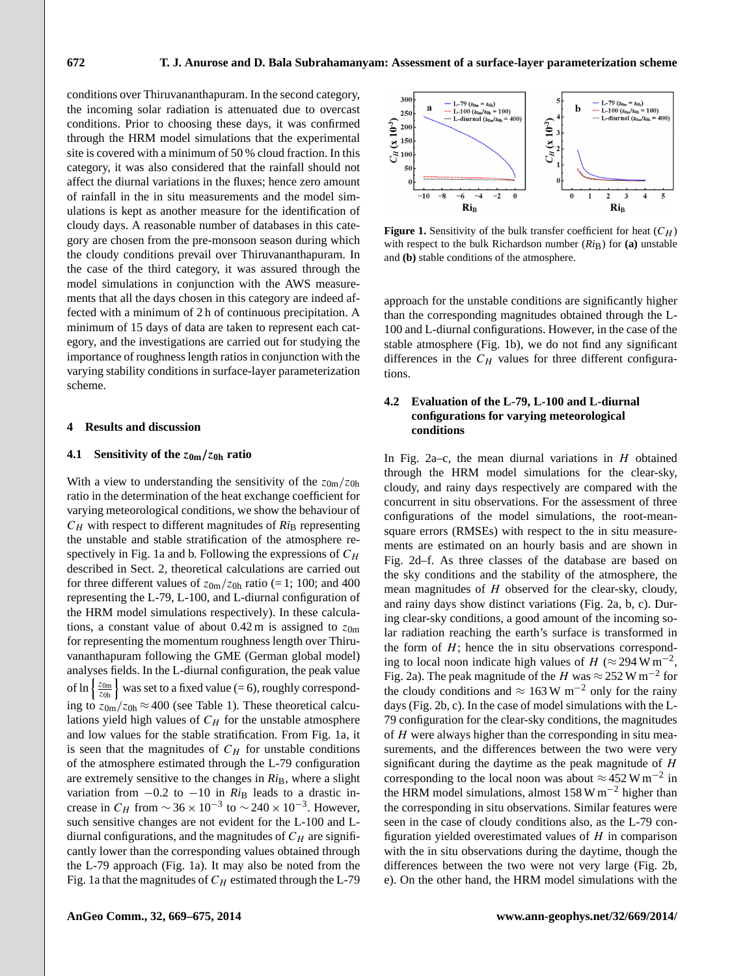conditions over Thiruvananthapuram. In the second category, the incoming solar radiation is attenuated due to overcast conditions. Prior to choosing these days, it was confirmed through the HRM model simulations that the experimental site is covered with a minimum of 50 % cloud fraction. In this category, it was also considered that the rainfall should not affect the diurnal variations in the fluxes; hence zero amount of rainfall in the in situ measurements and the model simulations is kept as another measure for the identification of cloudy days. A reasonable number of databases in this category are chosen from the pre-monsoon season during which the cloudy conditions prevail over Thiruvananthapuram. In the case of the third category, it was assured through the model simulations in conjunction with the AWS measurements that all the days chosen in this category are indeed affected with a minimum of 2 h of continuous precipitation. A minimum of 15 days of data are taken to represent each category, and the investigations are carried out for studying the importance of roughness length ratios in conjunction with the varying stability conditions in surface-layer parameterization scheme.

#### **4 Results and discussion**

## **4.1 Sensitivity of the** z**0m**/z**0h ratio**

With a view to understanding the sensitivity of the  $z_{0m}/z_{0h}$ ratio in the determination of the heat exchange coefficient for varying meteorological conditions, we show the behaviour of  $C_H$  with respect to different magnitudes of  $Ri_B$  representing the unstable and stable stratification of the atmosphere re-spectively in Fig. [1a](#page-3-0) and b. Following the expressions of  $C_H$ described in Sect. [2,](#page-1-0) theoretical calculations are carried out for three different values of  $z_{0m}/z_{0h}$  ratio (= 1; 100; and 400 representing the L-79, L-100, and L-diurnal configuration of the HRM model simulations respectively). In these calculations, a constant value of about 0.42 m is assigned to  $z_{0m}$ for representing the momentum roughness length over Thiruvananthapuram following the GME (German global model) analyses fields. In the L-diurnal configuration, the peak value of ln  $\left\{\frac{z_{0m}}{z_{0h}}\right\}$  was set to a fixed value (= 6), roughly corresponding to  $z_{0m}/z_{0h} \approx 400$  (see Table [1\)](#page-2-0). These theoretical calculations yield high values of  $C_H$  for the unstable atmosphere and low values for the stable stratification. From Fig. [1a](#page-3-0), it is seen that the magnitudes of  $C_H$  for unstable conditions of the atmosphere estimated through the L-79 configuration are extremely sensitive to the changes in  $Ri_B$ , where a slight variation from  $-0.2$  to  $-10$  in  $Ri_B$  leads to a drastic increase in  $C_H$  from  $\sim$  36 × 10<sup>-3</sup> to  $\sim$  240 × 10<sup>-3</sup>. However, such sensitive changes are not evident for the L-100 and Ldiurnal configurations, and the magnitudes of  $C_H$  are significantly lower than the corresponding values obtained through the L-79 approach (Fig. [1a](#page-3-0)). It may also be noted from the Fig. [1a](#page-3-0) that the magnitudes of  $C_H$  estimated through the L-79



<span id="page-3-0"></span>**Figure 1.** Sensitivity of the bulk transfer coefficient for heat  $(C_H)$ with respect to the bulk Richardson number  $(Ri_B)$  for  $(a)$  unstable and **(b)** stable conditions of the atmosphere.

approach for the unstable conditions are significantly higher than the corresponding magnitudes obtained through the L-100 and L-diurnal configurations. However, in the case of the stable atmosphere (Fig. [1b](#page-3-0)), we do not find any significant differences in the  $C_H$  values for three different configurations.

# **4.2 Evaluation of the L-79, L-100 and L-diurnal configurations for varying meteorological conditions**

In Fig. [2a](#page-4-0)–c, the mean diurnal variations in  $H$  obtained through the HRM model simulations for the clear-sky, cloudy, and rainy days respectively are compared with the concurrent in situ observations. For the assessment of three configurations of the model simulations, the root-meansquare errors (RMSEs) with respect to the in situ measurements are estimated on an hourly basis and are shown in Fig. [2d](#page-4-0)–f. As three classes of the database are based on the sky conditions and the stability of the atmosphere, the mean magnitudes of  $H$  observed for the clear-sky, cloudy, and rainy days show distinct variations (Fig. [2a](#page-4-0), b, c). During clear-sky conditions, a good amount of the incoming solar radiation reaching the earth's surface is transformed in the form of  $H$ ; hence the in situ observations corresponding to local noon indicate high values of  $H \approx 294 \,\mathrm{W m^{-2}}$ , Fig. [2a](#page-4-0)). The peak magnitude of the H was  $\approx$  252 W m<sup>-2</sup> for the cloudy conditions and  $\approx 163 \,\mathrm{W} \,\mathrm{m}^{-2}$  only for the rainy days (Fig. [2b](#page-4-0), c). In the case of model simulations with the L-79 configuration for the clear-sky conditions, the magnitudes of H were always higher than the corresponding in situ measurements, and the differences between the two were very significant during the daytime as the peak magnitude of  $H$ corresponding to the local noon was about  $\approx$  452 W m<sup>-2</sup> in the HRM model simulations, almost  $158 \text{ W m}^{-2}$  higher than the corresponding in situ observations. Similar features were seen in the case of cloudy conditions also, as the L-79 configuration yielded overestimated values of  $H$  in comparison with the in situ observations during the daytime, though the differences between the two were not very large (Fig. [2b](#page-4-0), e). On the other hand, the HRM model simulations with the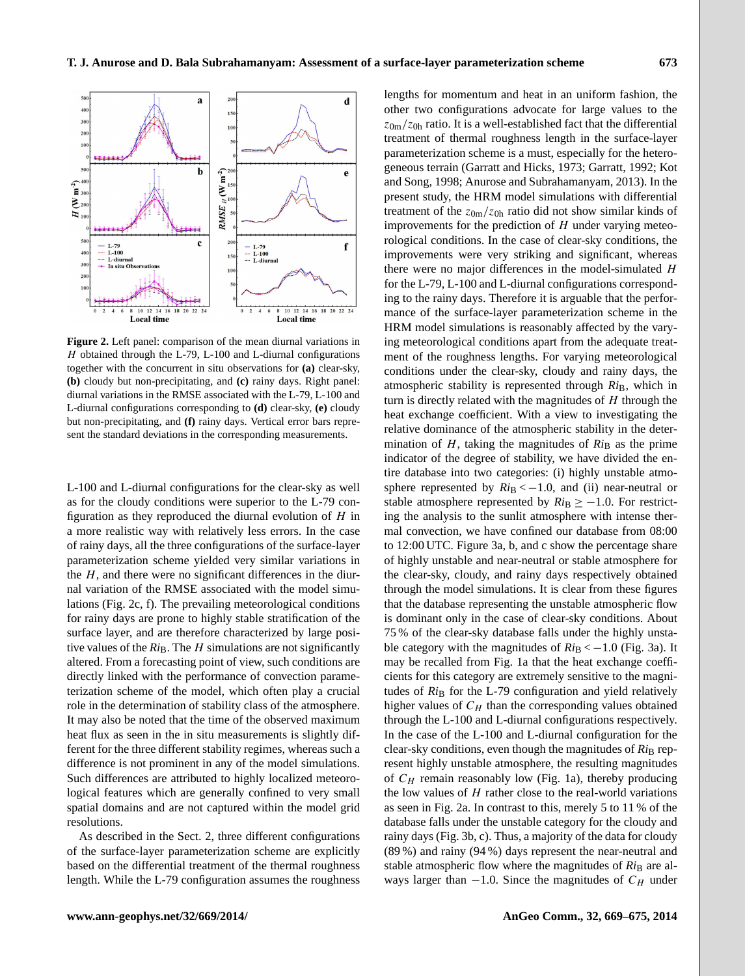

<span id="page-4-0"></span>**Figure 2.** Left panel: comparison of the mean diurnal variations in  $H$  obtained through the L-79, L-100 and L-diurnal configurations together with the concurrent in situ observations for **(a)** clear-sky, **(b)** cloudy but non-precipitating, and **(c)** rainy days. Right panel: diurnal variations in the RMSE associated with the L-79, L-100 and L-diurnal configurations corresponding to **(d)** clear-sky, **(e)** cloudy but non-precipitating, and **(f)** rainy days. Vertical error bars represent the standard deviations in the corresponding measurements.

L-100 and L-diurnal configurations for the clear-sky as well as for the cloudy conditions were superior to the L-79 configuration as they reproduced the diurnal evolution of  $H$  in a more realistic way with relatively less errors. In the case of rainy days, all the three configurations of the surface-layer parameterization scheme yielded very similar variations in the  $H$ , and there were no significant differences in the diurnal variation of the RMSE associated with the model simulations (Fig. [2c](#page-4-0), f). The prevailing meteorological conditions for rainy days are prone to highly stable stratification of the surface layer, and are therefore characterized by large positive values of the  $Ri_B$ . The  $H$  simulations are not significantly altered. From a forecasting point of view, such conditions are directly linked with the performance of convection parameterization scheme of the model, which often play a crucial role in the determination of stability class of the atmosphere. It may also be noted that the time of the observed maximum heat flux as seen in the in situ measurements is slightly different for the three different stability regimes, whereas such a difference is not prominent in any of the model simulations. Such differences are attributed to highly localized meteorological features which are generally confined to very small spatial domains and are not captured within the model grid resolutions.

As described in the Sect. [2,](#page-1-0) three different configurations of the surface-layer parameterization scheme are explicitly based on the differential treatment of the thermal roughness length. While the L-79 configuration assumes the roughness lengths for momentum and heat in an uniform fashion, the other two configurations advocate for large values to the  $z_{0m}/z_{0h}$  ratio. It is a well-established fact that the differential treatment of thermal roughness length in the surface-layer parameterization scheme is a must, especially for the heterogeneous terrain [\(Garratt and Hicks,](#page-6-10) [1973;](#page-6-10) [Garratt,](#page-6-5) [1992;](#page-6-5) [Kot](#page-6-17) [and Song,](#page-6-17) [1998;](#page-6-17) [Anurose and Subrahamanyam,](#page-6-2) [2013\)](#page-6-2). In the present study, the HRM model simulations with differential treatment of the  $z_{0m}/z_{0h}$  ratio did not show similar kinds of improvements for the prediction of  $H$  under varying meteorological conditions. In the case of clear-sky conditions, the improvements were very striking and significant, whereas there were no major differences in the model-simulated  $H$ for the L-79, L-100 and L-diurnal configurations corresponding to the rainy days. Therefore it is arguable that the performance of the surface-layer parameterization scheme in the HRM model simulations is reasonably affected by the varying meteorological conditions apart from the adequate treatment of the roughness lengths. For varying meteorological conditions under the clear-sky, cloudy and rainy days, the atmospheric stability is represented through  $Ri_B$ , which in turn is directly related with the magnitudes of  $H$  through the heat exchange coefficient. With a view to investigating the relative dominance of the atmospheric stability in the determination of  $H$ , taking the magnitudes of  $Ri_B$  as the prime indicator of the degree of stability, we have divided the entire database into two categories: (i) highly unstable atmosphere represented by  $Ri_B < -1.0$ , and (ii) near-neutral or stable atmosphere represented by  $Ri_\text{B} \ge -1.0$ . For restricting the analysis to the sunlit atmosphere with intense thermal convection, we have confined our database from 08:00 to 12:00 UTC. Figure [3a](#page-5-0), b, and c show the percentage share of highly unstable and near-neutral or stable atmosphere for the clear-sky, cloudy, and rainy days respectively obtained through the model simulations. It is clear from these figures that the database representing the unstable atmospheric flow is dominant only in the case of clear-sky conditions. About 75 % of the clear-sky database falls under the highly unstable category with the magnitudes of  $Ri<sub>B</sub> < -1.0$  (Fig. [3a](#page-5-0)). It may be recalled from Fig. [1a](#page-3-0) that the heat exchange coefficients for this category are extremely sensitive to the magnitudes of *Ri*<sub>B</sub> for the L-79 configuration and yield relatively higher values of  $C_H$  than the corresponding values obtained through the L-100 and L-diurnal configurations respectively. In the case of the L-100 and L-diurnal configuration for the clear-sky conditions, even though the magnitudes of  $Ri_B$  represent highly unstable atmosphere, the resulting magnitudes of  $C_H$  remain reasonably low (Fig. [1a](#page-3-0)), thereby producing the low values of  $H$  rather close to the real-world variations as seen in Fig. [2a](#page-4-0). In contrast to this, merely 5 to 11 % of the database falls under the unstable category for the cloudy and rainy days (Fig. [3b](#page-5-0), c). Thus, a majority of the data for cloudy (89 %) and rainy (94 %) days represent the near-neutral and stable atmospheric flow where the magnitudes of  $Ri_B$  are always larger than  $-1.0$ . Since the magnitudes of  $C_H$  under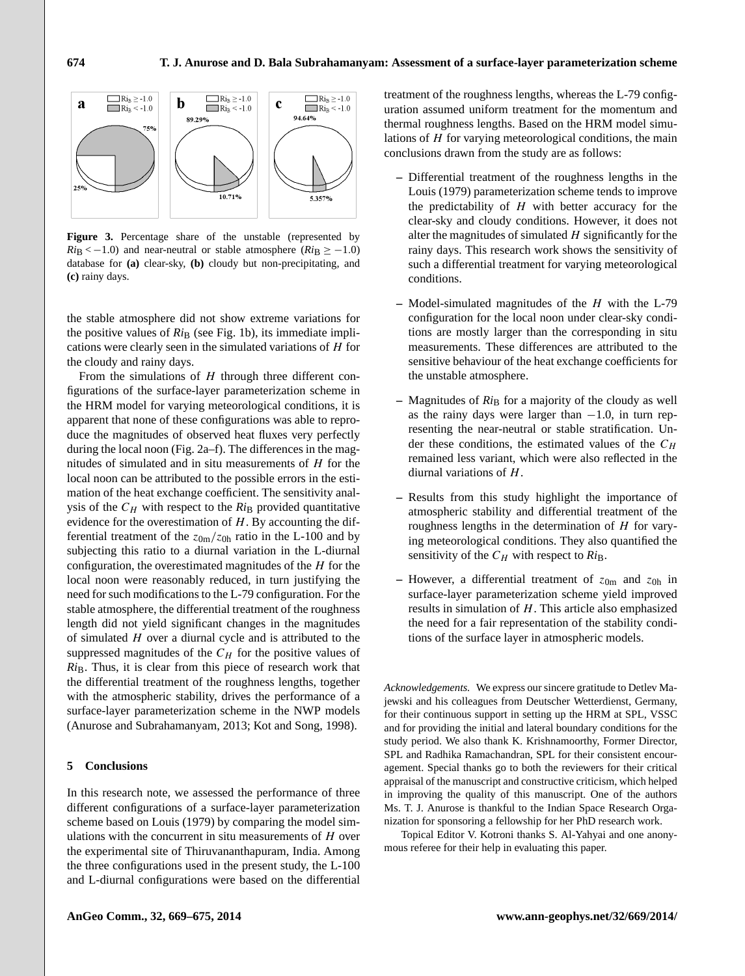

<span id="page-5-0"></span>**Figure 3.** Percentage share of the unstable (represented by  $Ri<sub>B</sub> < -1.0$ ) and near-neutral or stable atmosphere ( $Ri<sub>B</sub> \ge -1.0$ ) database for **(a)** clear-sky, **(b)** cloudy but non-precipitating, and **(c)** rainy days.

the stable atmosphere did not show extreme variations for the positive values of  $Ri_B$  (see Fig. [1b](#page-3-0)), its immediate implications were clearly seen in the simulated variations of  $H$  for the cloudy and rainy days.

apparent that none of these configurations was able to repro-From the simulations of  $H$  through three different configurations of the surface-layer parameterization scheme in the HRM model for varying meteorological conditions, it is duce the magnitudes of observed heat fluxes very perfectly during the local noon (Fig. [2a](#page-4-0)–f). The differences in the magnitudes of simulated and in situ measurements of  $H$  for the local noon can be attributed to the possible errors in the estimation of the heat exchange coefficient. The sensitivity analysis of the  $C_H$  with respect to the  $Ri_B$  provided quantitative evidence for the overestimation of  $H$ . By accounting the differential treatment of the  $z_{0m}/z_{0h}$  ratio in the L-100 and by subjecting this ratio to a diurnal variation in the L-diurnal configuration, the overestimated magnitudes of the  $H$  for the local noon were reasonably reduced, in turn justifying the need for such modifications to the L-79 configuration. For the stable atmosphere, the differential treatment of the roughness length did not yield significant changes in the magnitudes of simulated  $H$  over a diurnal cycle and is attributed to the suppressed magnitudes of the  $C_H$  for the positive values of *Ri*<sub>B</sub>. Thus, it is clear from this piece of research work that the differential treatment of the roughness lengths, together with the atmospheric stability, drives the performance of a surface-layer parameterization scheme in the NWP models [\(Anurose and Subrahamanyam,](#page-6-2) [2013;](#page-6-2) [Kot and Song,](#page-6-17) [1998\)](#page-6-17).

## **5 Conclusions**

In this research note, we assessed the performance of three different configurations of a surface-layer parameterization scheme based on [Louis](#page-6-4) [\(1979\)](#page-6-4) by comparing the model simulations with the concurrent in situ measurements of  $H$  over the experimental site of Thiruvananthapuram, India. Among the three configurations used in the present study, the L-100 and L-diurnal configurations were based on the differential treatment of the roughness lengths, whereas the L-79 configuration assumed uniform treatment for the momentum and thermal roughness lengths. Based on the HRM model simulations of  $H$  for varying meteorological conditions, the main conclusions drawn from the study are as follows:

- **–** Differential treatment of the roughness lengths in the [Louis](#page-6-4) [\(1979\)](#page-6-4) parameterization scheme tends to improve the predictability of  $H$  with better accuracy for the clear-sky and cloudy conditions. However, it does not alter the magnitudes of simulated  $H$  significantly for the rainy days. This research work shows the sensitivity of such a differential treatment for varying meteorological conditions.
- **–** Model-simulated magnitudes of the H with the L-79 configuration for the local noon under clear-sky conditions are mostly larger than the corresponding in situ measurements. These differences are attributed to the sensitive behaviour of the heat exchange coefficients for the unstable atmosphere.
- **–** Magnitudes of *Ri*<sup>B</sup> for a majority of the cloudy as well as the rainy days were larger than −1.0, in turn representing the near-neutral or stable stratification. Under these conditions, the estimated values of the  $C_H$ remained less variant, which were also reflected in the diurnal variations of  $H$ .
- **–** Results from this study highlight the importance of atmospheric stability and differential treatment of the roughness lengths in the determination of  $H$  for varying meteorological conditions. They also quantified the sensitivity of the  $C_H$  with respect to  $Ri_B$ .
- $-$  However, a differential treatment of  $z_{0m}$  and  $z_{0h}$  in surface-layer parameterization scheme yield improved results in simulation of  $H$ . This article also emphasized the need for a fair representation of the stability conditions of the surface layer in atmospheric models.

*Acknowledgements.* We express our sincere gratitude to Detlev Majewski and his colleagues from Deutscher Wetterdienst, Germany, for their continuous support in setting up the HRM at SPL, VSSC and for providing the initial and lateral boundary conditions for the study period. We also thank K. Krishnamoorthy, Former Director, SPL and Radhika Ramachandran, SPL for their consistent encouragement. Special thanks go to both the reviewers for their critical appraisal of the manuscript and constructive criticism, which helped in improving the quality of this manuscript. One of the authors Ms. T. J. Anurose is thankful to the Indian Space Research Organization for sponsoring a fellowship for her PhD research work.

Topical Editor V. Kotroni thanks S. Al-Yahyai and one anonymous referee for their help in evaluating this paper.